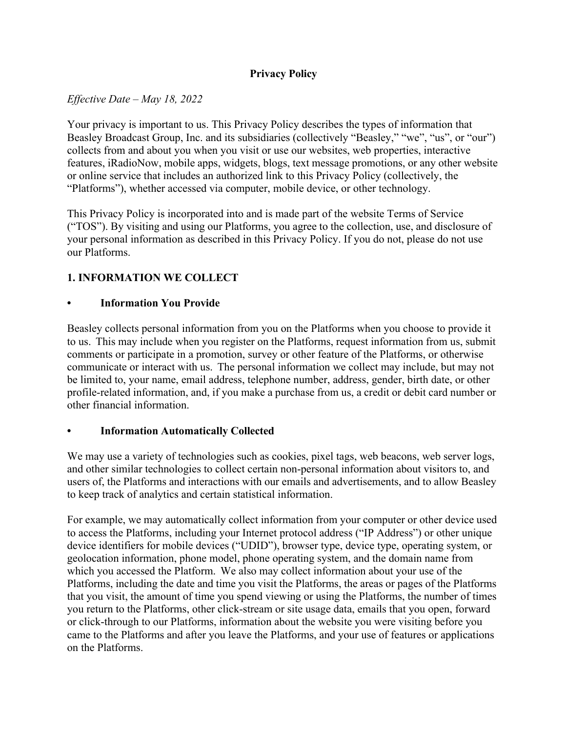## **Privacy Policy**

#### *Effective Date – May 18, 2022*

Your privacy is important to us. This Privacy Policy describes the types of information that Beasley Broadcast Group, Inc. and its subsidiaries (collectively "Beasley," "we", "us", or "our") collects from and about you when you visit or use our websites, web properties, interactive features, iRadioNow, mobile apps, widgets, blogs, text message promotions, or any other website or online service that includes an authorized link to this Privacy Policy (collectively, the "Platforms"), whether accessed via computer, mobile device, or other technology.

This Privacy Policy is incorporated into and is made part of the website Terms of Service ("TOS"). By visiting and using our Platforms, you agree to the collection, use, and disclosure of your personal information as described in this Privacy Policy. If you do not, please do not use our Platforms.

#### **1. INFORMATION WE COLLECT**

#### **• Information You Provide**

Beasley collects personal information from you on the Platforms when you choose to provide it to us. This may include when you register on the Platforms, request information from us, submit comments or participate in a promotion, survey or other feature of the Platforms, or otherwise communicate or interact with us. The personal information we collect may include, but may not be limited to, your name, email address, telephone number, address, gender, birth date, or other profile-related information, and, if you make a purchase from us, a credit or debit card number or other financial information.

#### **• Information Automatically Collected**

We may use a variety of technologies such as cookies, pixel tags, web beacons, web server logs, and other similar technologies to collect certain non-personal information about visitors to, and users of, the Platforms and interactions with our emails and advertisements, and to allow Beasley to keep track of analytics and certain statistical information.

For example, we may automatically collect information from your computer or other device used to access the Platforms, including your Internet protocol address ("IP Address") or other unique device identifiers for mobile devices ("UDID"), browser type, device type, operating system, or geolocation information, phone model, phone operating system, and the domain name from which you accessed the Platform. We also may collect information about your use of the Platforms, including the date and time you visit the Platforms, the areas or pages of the Platforms that you visit, the amount of time you spend viewing or using the Platforms, the number of times you return to the Platforms, other click-stream or site usage data, emails that you open, forward or click-through to our Platforms, information about the website you were visiting before you came to the Platforms and after you leave the Platforms, and your use of features or applications on the Platforms.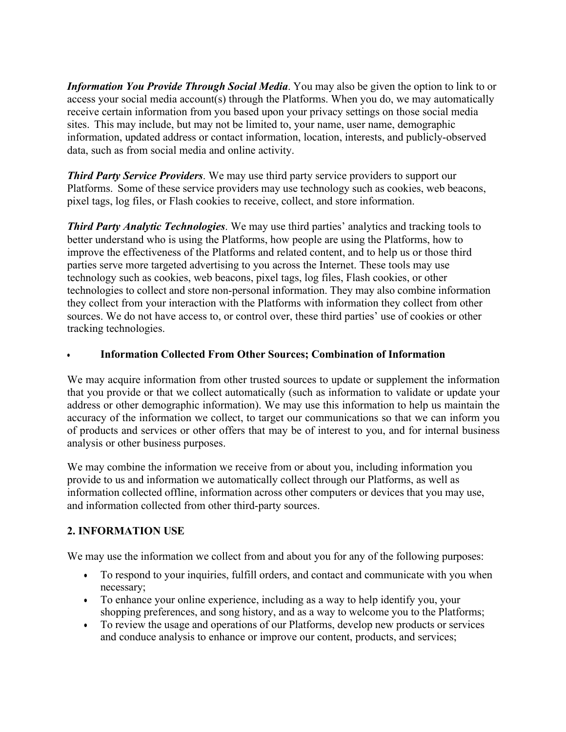*Information You Provide Through Social Media*. You may also be given the option to link to or access your social media account(s) through the Platforms. When you do, we may automatically receive certain information from you based upon your privacy settings on those social media sites. This may include, but may not be limited to, your name, user name, demographic information, updated address or contact information, location, interests, and publicly-observed data, such as from social media and online activity.

*Third Party Service Providers*. We may use third party service providers to support our Platforms. Some of these service providers may use technology such as cookies, web beacons, pixel tags, log files, or Flash cookies to receive, collect, and store information.

*Third Party Analytic Technologies*. We may use third parties' analytics and tracking tools to better understand who is using the Platforms, how people are using the Platforms, how to improve the effectiveness of the Platforms and related content, and to help us or those third parties serve more targeted advertising to you across the Internet. These tools may use technology such as cookies, web beacons, pixel tags, log files, Flash cookies, or other technologies to collect and store non-personal information. They may also combine information they collect from your interaction with the Platforms with information they collect from other sources. We do not have access to, or control over, these third parties' use of cookies or other tracking technologies.

## • **Information Collected From Other Sources; Combination of Information**

We may acquire information from other trusted sources to update or supplement the information that you provide or that we collect automatically (such as information to validate or update your address or other demographic information). We may use this information to help us maintain the accuracy of the information we collect, to target our communications so that we can inform you of products and services or other offers that may be of interest to you, and for internal business analysis or other business purposes.

We may combine the information we receive from or about you, including information you provide to us and information we automatically collect through our Platforms, as well as information collected offline, information across other computers or devices that you may use, and information collected from other third-party sources.

# **2. INFORMATION USE**

We may use the information we collect from and about you for any of the following purposes:

- To respond to your inquiries, fulfill orders, and contact and communicate with you when necessary;
- To enhance your online experience, including as a way to help identify you, your shopping preferences, and song history, and as a way to welcome you to the Platforms;
- To review the usage and operations of our Platforms, develop new products or services and conduce analysis to enhance or improve our content, products, and services;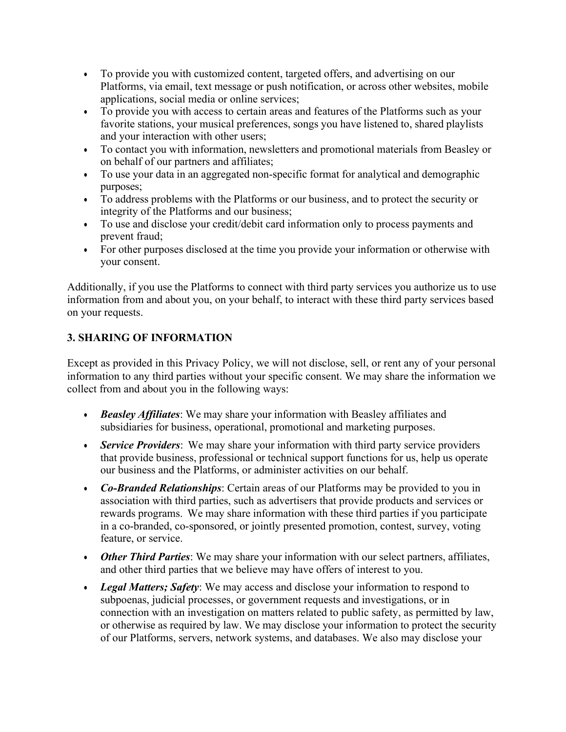- To provide you with customized content, targeted offers, and advertising on our Platforms, via email, text message or push notification, or across other websites, mobile applications, social media or online services;
- To provide you with access to certain areas and features of the Platforms such as your favorite stations, your musical preferences, songs you have listened to, shared playlists and your interaction with other users;
- To contact you with information, newsletters and promotional materials from Beasley or on behalf of our partners and affiliates;
- To use your data in an aggregated non-specific format for analytical and demographic purposes;
- To address problems with the Platforms or our business, and to protect the security or integrity of the Platforms and our business;
- To use and disclose your credit/debit card information only to process payments and prevent fraud;
- For other purposes disclosed at the time you provide your information or otherwise with your consent.

Additionally, if you use the Platforms to connect with third party services you authorize us to use information from and about you, on your behalf, to interact with these third party services based on your requests.

# **3. SHARING OF INFORMATION**

Except as provided in this Privacy Policy, we will not disclose, sell, or rent any of your personal information to any third parties without your specific consent. We may share the information we collect from and about you in the following ways:

- *Beasley Affiliates*: We may share your information with Beasley affiliates and subsidiaries for business, operational, promotional and marketing purposes.
- *Service Providers*: We may share your information with third party service providers that provide business, professional or technical support functions for us, help us operate our business and the Platforms, or administer activities on our behalf.
- *Co-Branded Relationships*: Certain areas of our Platforms may be provided to you in association with third parties, such as advertisers that provide products and services or rewards programs. We may share information with these third parties if you participate in a co-branded, co-sponsored, or jointly presented promotion, contest, survey, voting feature, or service.
- *Other Third Parties*: We may share your information with our select partners, affiliates, and other third parties that we believe may have offers of interest to you.
- *Legal Matters; Safety*: We may access and disclose your information to respond to subpoenas, judicial processes, or government requests and investigations, or in connection with an investigation on matters related to public safety, as permitted by law, or otherwise as required by law. We may disclose your information to protect the security of our Platforms, servers, network systems, and databases. We also may disclose your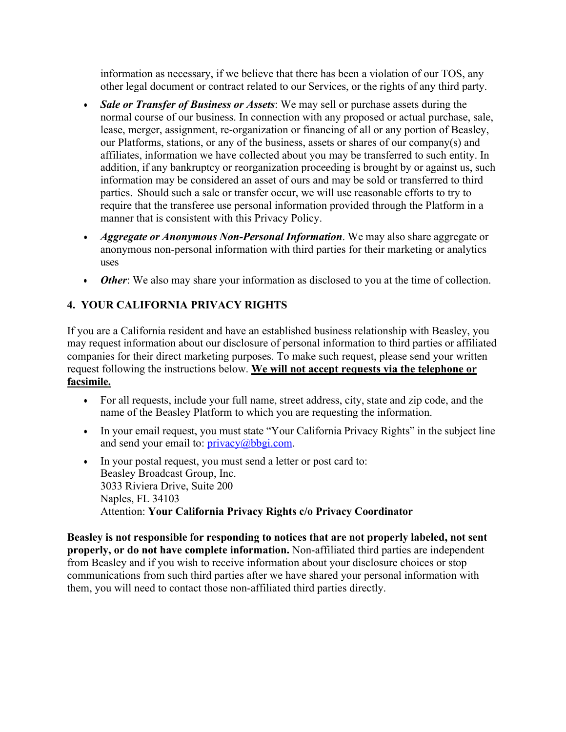information as necessary, if we believe that there has been a violation of our TOS, any other legal document or contract related to our Services, or the rights of any third party.

- *Sale or Transfer of Business or Assets*: We may sell or purchase assets during the normal course of our business. In connection with any proposed or actual purchase, sale, lease, merger, assignment, re-organization or financing of all or any portion of Beasley, our Platforms, stations, or any of the business, assets or shares of our company(s) and affiliates, information we have collected about you may be transferred to such entity. In addition, if any bankruptcy or reorganization proceeding is brought by or against us, such information may be considered an asset of ours and may be sold or transferred to third parties. Should such a sale or transfer occur, we will use reasonable efforts to try to require that the transferee use personal information provided through the Platform in a manner that is consistent with this Privacy Policy.
- *Aggregate or Anonymous Non-Personal Information*. We may also share aggregate or anonymous non-personal information with third parties for their marketing or analytics uses
- *Other*: We also may share your information as disclosed to you at the time of collection.

# **4. YOUR CALIFORNIA PRIVACY RIGHTS**

If you are a California resident and have an established business relationship with Beasley, you may request information about our disclosure of personal information to third parties or affiliated companies for their direct marketing purposes. To make such request, please send your written request following the instructions below. **We will not accept requests via the telephone or facsimile.**

- For all requests, include your full name, street address, city, state and zip code, and the name of the Beasley Platform to which you are requesting the information.
- In your email request, you must state "Your California Privacy Rights" in the subject line and send your email to:  $\text{privacy}(a) \text{bbgi.com}.$
- In your postal request, you must send a letter or post card to: Beasley Broadcast Group, Inc. 3033 Riviera Drive, Suite 200 Naples, FL 34103 Attention: **Your California Privacy Rights c/o Privacy Coordinator**

**Beasley is not responsible for responding to notices that are not properly labeled, not sent properly, or do not have complete information.** Non-affiliated third parties are independent from Beasley and if you wish to receive information about your disclosure choices or stop communications from such third parties after we have shared your personal information with them, you will need to contact those non-affiliated third parties directly.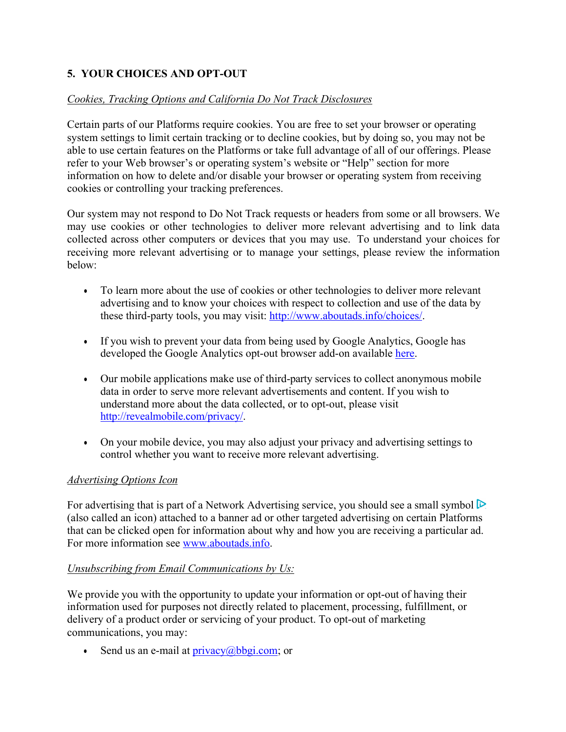# **5. YOUR CHOICES AND OPT-OUT**

#### *Cookies, Tracking Options and California Do Not Track Disclosures*

Certain parts of our Platforms require cookies. You are free to set your browser or operating system settings to limit certain tracking or to decline cookies, but by doing so, you may not be able to use certain features on the Platforms or take full advantage of all of our offerings. Please refer to your Web browser's or operating system's website or "Help" section for more information on how to delete and/or disable your browser or operating system from receiving cookies or controlling your tracking preferences.

Our system may not respond to Do Not Track requests or headers from some or all browsers. We may use cookies or other technologies to deliver more relevant advertising and to link data collected across other computers or devices that you may use. To understand your choices for receiving more relevant advertising or to manage your settings, please review the information below:

- To learn more about the use of cookies or other technologies to deliver more relevant advertising and to know your choices with respect to collection and use of the data by these third-party tools, you may visit: http://www.aboutads.info/choices/.
- If you wish to prevent your data from being used by Google Analytics, Google has developed the Google Analytics opt-out browser add-on available here.
- Our mobile applications make use of third-party services to collect anonymous mobile data in order to serve more relevant advertisements and content. If you wish to understand more about the data collected, or to opt-out, please visit http://revealmobile.com/privacy/.
- On your mobile device, you may also adjust your privacy and advertising settings to control whether you want to receive more relevant advertising.

#### *Advertising Options Icon*

For advertising that is part of a Network Advertising service, you should see a small symbol (also called an icon) attached to a banner ad or other targeted advertising on certain Platforms that can be clicked open for information about why and how you are receiving a particular ad. For more information see www.aboutads.info.

#### *Unsubscribing from Email Communications by Us:*

We provide you with the opportunity to update your information or opt-out of having their information used for purposes not directly related to placement, processing, fulfillment, or delivery of a product order or servicing of your product. To opt-out of marketing communications, you may:

• Send us an e-mail at  $\text{privacy}(a) \text{bbg} \text{.} \text{com}$ ; or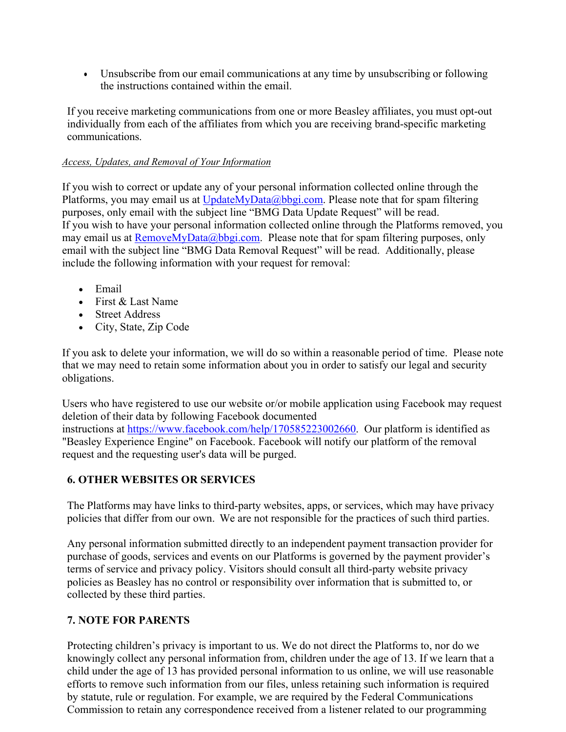• Unsubscribe from our email communications at any time by unsubscribing or following the instructions contained within the email.

If you receive marketing communications from one or more Beasley affiliates, you must opt-out individually from each of the affiliates from which you are receiving brand-specific marketing communications.

#### *Access, Updates, and Removal of Your Information*

If you wish to correct or update any of your personal information collected online through the Platforms, you may email us at  $UpdateMyData@bbgi.com$ . Please note that for spam filtering purposes, only email with the subject line "BMG Data Update Request" will be read. If you wish to have your personal information collected online through the Platforms removed, you may email us at  $RemoveMyData@bbgi.com$ . Please note that for spam filtering purposes, only email with the subject line "BMG Data Removal Request" will be read. Additionally, please include the following information with your request for removal:

- Email
- First & Last Name
- **Street Address**
- City, State, Zip Code

If you ask to delete your information, we will do so within a reasonable period of time. Please note that we may need to retain some information about you in order to satisfy our legal and security obligations.

Users who have registered to use our website or/or mobile application using Facebook may request deletion of their data by following Facebook documented instructions at https://www.facebook.com/help/170585223002660. Our platform is identified as "Beasley Experience Engine" on Facebook. Facebook will notify our platform of the removal request and the requesting user's data will be purged.

# **6. OTHER WEBSITES OR SERVICES**

The Platforms may have links to third-party websites, apps, or services, which may have privacy policies that differ from our own. We are not responsible for the practices of such third parties.

Any personal information submitted directly to an independent payment transaction provider for purchase of goods, services and events on our Platforms is governed by the payment provider's terms of service and privacy policy. Visitors should consult all third-party website privacy policies as Beasley has no control or responsibility over information that is submitted to, or collected by these third parties.

# **7. NOTE FOR PARENTS**

Protecting children's privacy is important to us. We do not direct the Platforms to, nor do we knowingly collect any personal information from, children under the age of 13. If we learn that a child under the age of 13 has provided personal information to us online, we will use reasonable efforts to remove such information from our files, unless retaining such information is required by statute, rule or regulation. For example, we are required by the Federal Communications Commission to retain any correspondence received from a listener related to our programming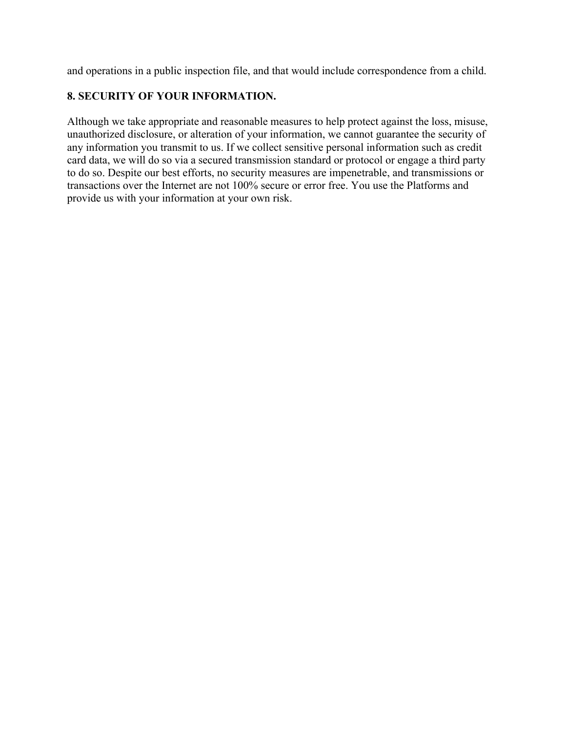and operations in a public inspection file, and that would include correspondence from a child.

## **8. SECURITY OF YOUR INFORMATION.**

Although we take appropriate and reasonable measures to help protect against the loss, misuse, unauthorized disclosure, or alteration of your information, we cannot guarantee the security of any information you transmit to us. If we collect sensitive personal information such as credit card data, we will do so via a secured transmission standard or protocol or engage a third party to do so. Despite our best efforts, no security measures are impenetrable, and transmissions or transactions over the Internet are not 100% secure or error free. You use the Platforms and provide us with your information at your own risk.